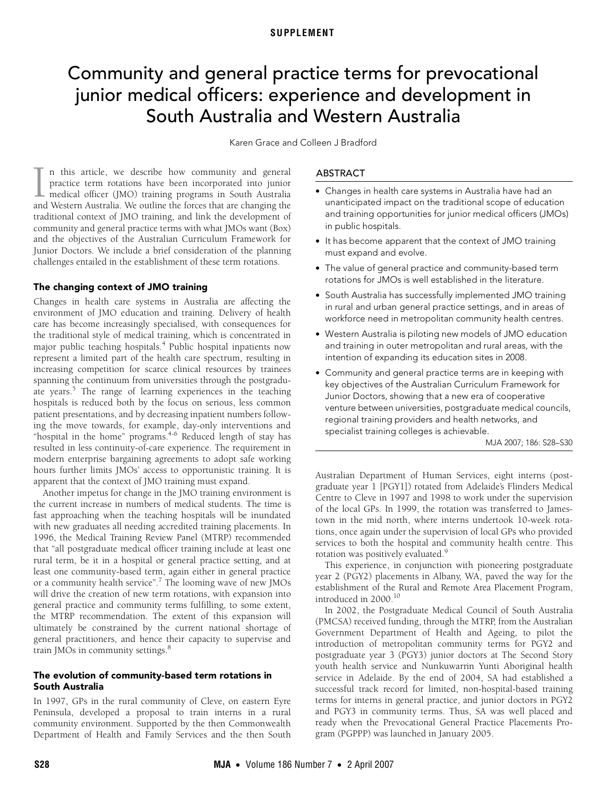# Community and general practice terms for prevocational junior medical officers: experience and development in South Australia and Western Australia

Karen Grace and Colleen J Bradford

community and general practice terms with what JMOs want (Box) and the objectives of the Australian Curriculum Framework for Junior Doctors. We include a brief consideration of the planning challenges entailed in the establishment of these term rotations. n this article, we describe how community and general practice term rotations have been incorporated into junior medical officer (JMO) training programs in South Australia and Western Australia. We outline the forces that are changing the traditional context of JMO training, and link the development of  $\prod_{\text{and}}$ 

## The changing context of JMO training

Changes in health care systems in Australia are affecting the environment of JMO education and training. Delivery of health care has become increasingly specialised, with consequences for the traditional style of medical training, which is concentrated in major public teaching hospitals.[4](#page-2-0) Public hospital inpatients now represent a limited part of the health care spectrum, resulting in increasing competition for scarce clinical resources by trainees spanning the continuum from universities through the postgradu-ate years.<sup>[5](#page-2-1)</sup> The range of learning experiences in the teaching hospitals is reduced both by the focus on serious, less common patient presentations, and by decreasing inpatient numbers following the move towards, for example, day-only interventions and "hospital in the home" programs.<sup>[4](#page-2-0)-6</sup> Reduced length of stay has resulted in less continuity-of-care experience. The requirement in modern enterprise bargaining agreements to adopt safe working hours further limits JMOs' access to opportunistic training. It is apparent that the context of JMO training must expand.

Another impetus for change in the JMO training environment is the current increase in numbers of medical students. The time is fast approaching when the teaching hospitals will be inundated with new graduates all needing accredited training placements. In 1996, the Medical Training Review Panel (MTRP) recommended that "all postgraduate medical officer training include at least one rural term, be it in a hospital or general practice setting, and at least one community-based term, again either in general practice or a community health service".<sup>[7](#page-2-3)</sup> The looming wave of new JMOs will drive the creation of new term rotations, with expansion into general practice and community terms fulfilling, to some extent, the MTRP recommendation. The extent of this expansion will ultimately be constrained by the current national shortage of general practitioners, and hence their capacity to supervise and train JMOs in community settings[.8](#page-2-4)

## The evolution of community-based term rotations in South Australia

In 1997, GPs in the rural community of Cleve, on eastern Eyre Peninsula, developed a proposal to train interns in a rural community environment. Supported by the then Commonwealth Department of Health and Family Services and the then South

# ABSTRACT

- Changes in health care systems in Australia have had an unanticipated impact on the traditional scope of education and training opportunities for junior medical officers (JMOs) in public hospitals.
- It has become apparent that the context of JMO training must expand and evolve.
- The value of general practice and community-based term rotations for JMOs is well established in the literature.
- South Australia has successfully implemented JMO training in rural and urban general practice settings, and in areas of workforce need in metropolitan community health centres.
- Western Australia is piloting new models of JMO education and training in outer metropolitan and rural areas, with the intention of expanding its education sites in 2008.
- Community and general practice terms are in keeping with key objectives of the Australian Curriculum Framework for Junior Doctors, showing that a new era of cooperative venture between universities, postgraduate medical councils, regional training providers and health networks, and specialist training colleges is achievable.

MJA 2007; 186: S28–S30

Australian Department of Human Services, eight interns (postgraduate year 1 [PGY1]) rotated from Adelaide's Flinders Medical Centre to Cleve in 1997 and 1998 to work under the supervision of the local GPs. In 1999, the rotation was transferred to Jamestown in the mid north, where interns undertook 10-week rotations, once again under the supervision of local GPs who provided services to both the hospital and community health centre. This rotation was positively evaluated.<sup>[9](#page-2-5)</sup>

This experience, in conjunction with pioneering postgraduate year 2 (PGY2) placements in Albany, WA, paved the way for the establishment of the Rural and Remote Area Placement Program, introduced in 2000[.10](#page-2-6)

In 2002, the Postgraduate Medical Council of South Australia (PMCSA) received funding, through the MTRP, from the Australian Government Department of Health and Ageing, to pilot the introduction of metropolitan community terms for PGY2 and postgraduate year 3 (PGY3) junior doctors at The Second Story youth health service and Nunkuwarrin Yunti Aboriginal health service in Adelaide. By the end of 2004, SA had established a successful track record for limited, non-hospital-based training terms for interns in general practice, and junior doctors in PGY2 and PGY3 in community terms. Thus, SA was well placed and ready when the Prevocational General Practice Placements Program (PGPPP) was launched in January 2005.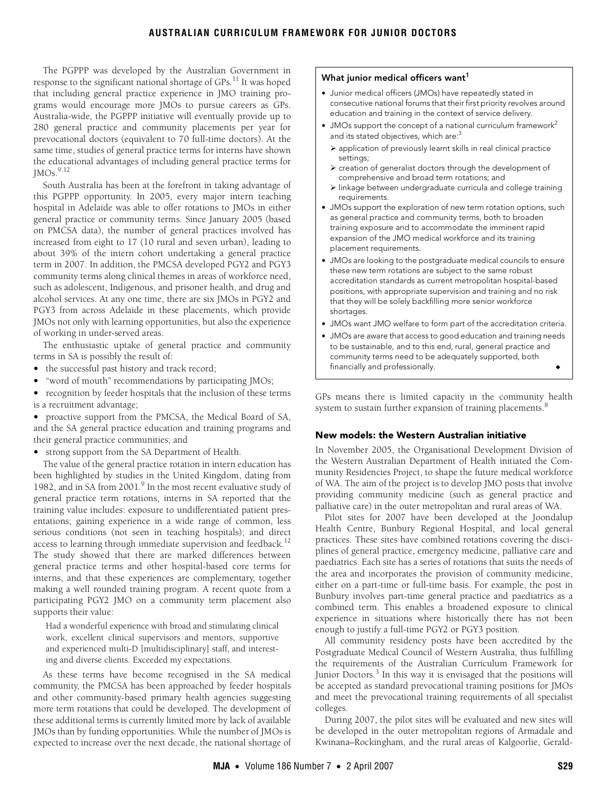The PGPPP was developed by the Australian Government in response to the significant national shortage of GPs.<sup>[11](#page-2-7)</sup> It was hoped that including general practice experience in JMO training programs would encourage more JMOs to pursue careers as GPs. Australia-wide, the PGPPP initiative will eventually provide up to 280 general practice and community placements per year for prevocational doctors (equivalent to 70 full-time doctors). At the same time, studies of general practice terms for interns have shown the educational advantages of including general practice terms for  $IMOs.<sup>9,12</sup>$  $IMOs.<sup>9,12</sup>$  $IMOs.<sup>9,12</sup>$  $IMOs.<sup>9,12</sup>$  $IMOs.<sup>9,12</sup>$ 

South Australia has been at the forefront in taking advantage of this PGPPP opportunity. In 2005, every major intern teaching hospital in Adelaide was able to offer rotations to JMOs in either general practice or community terms. Since January 2005 (based on PMCSA data), the number of general practices involved has increased from eight to 17 (10 rural and seven urban), leading to about 39% of the intern cohort undertaking a general practice term in 2007. In addition, the PMCSA developed PGY2 and PGY3 community terms along clinical themes in areas of workforce need, such as adolescent, Indigenous, and prisoner health, and drug and alcohol services. At any one time, there are six JMOs in PGY2 and PGY3 from across Adelaide in these placements, which provide JMOs not only with learning opportunities, but also the experience of working in under-served areas.

The enthusiastic uptake of general practice and community terms in SA is possibly the result of:

- the successful past history and track record;
- "word of mouth" recommendations by participating JMOs;

• recognition by feeder hospitals that the inclusion of these terms is a recruitment advantage;

• proactive support from the PMCSA, the Medical Board of SA, and the SA general practice education and training programs and their general practice communities; and

• strong support from the SA Department of Health.

The value of the general practice rotation in intern education has been highlighted by studies in the United Kingdom, dating from 1982, and in SA from 2001.<sup>9</sup> In the most recent evaluative study of general practice term rotations, interns in SA reported that the training value includes: exposure to undifferentiated patient presentations; gaining experience in a wide range of common, less serious conditions (not seen in teaching hospitals); and direct access to learning through immediate supervision and feedback.<sup>[12](#page-2-8)</sup> The study showed that there are marked differences between general practice terms and other hospital-based core terms for interns, and that these experiences are complementary, together making a well rounded training program. A recent quote from a participating PGY2 JMO on a community term placement also supports their value:

Had a wonderful experience with broad and stimulating clinical work, excellent clinical supervisors and mentors, supportive and experienced multi-D [multidisciplinary] staff, and interesting and diverse clients. Exceeded my expectations.

As these terms have become recognised in the SA medical community, the PMCSA has been approached by feeder hospitals and other community-based primary health agencies suggesting more term rotations that could be developed. The development of these additional terms is currently limited more by lack of available JMOs than by funding opportunities. While the number of JMOs is expected to increase over the next decade, the national shortage of

#### What junior medical officers want $^{\rm 1}$  $^{\rm 1}$  $^{\rm 1}$

- Junior medical officers (JMOs) have repeatedly stated in consecutive national forums that their first priority revolves around education and training in the context of service delivery.
- JMOs support the concept of a national curriculum framework<sup>[2](#page-2-10)</sup> and its stated objectives, which are:<sup>3</sup>
	- ¾ application of previously learnt skills in real clinical practice settings;
	- ¾ creation of generalist doctors through the development of comprehensive and broad term rotations; and
	- ¾ linkage between undergraduate curricula and college training requirements.
- JMOs support the exploration of new term rotation options, such as general practice and community terms, both to broaden training exposure and to accommodate the imminent rapid expansion of the JMO medical workforce and its training placement requirements.
- JMOs are looking to the postgraduate medical councils to ensure these new term rotations are subject to the same robust accreditation standards as current metropolitan hospital-based positions, with appropriate supervision and training and no risk that they will be solely backfilling more senior workforce shortages.
- JMOs want JMO welfare to form part of the accreditation criteria.
- JMOs are aware that access to good education and training needs to be sustainable, and to this end, rural, general practice and community terms need to be adequately supported, both financially and professionally.

GPs means there is limited capacity in the community health system to sustain further expansion of training placements.<sup>[8](#page-2-4)</sup>

## New models: the Western Australian initiative

In November 2005, the Organisational Development Division of the Western Australian Department of Health initiated the Community Residencies Project, to shape the future medical workforce of WA. The aim of the project is to develop JMO posts that involve providing community medicine (such as general practice and palliative care) in the outer metropolitan and rural areas of WA.

Pilot sites for 2007 have been developed at the Joondalup Health Centre, Bunbury Regional Hospital, and local general practices. These sites have combined rotations covering the disciplines of general practice, emergency medicine, palliative care and paediatrics. Each site has a series of rotations that suits the needs of the area and incorporates the provision of community medicine, either on a part-time or full-time basis. For example, the post in Bunbury involves part-time general practice and paediatrics as a combined term. This enables a broadened exposure to clinical experience in situations where historically there has not been enough to justify a full-time PGY2 or PGY3 position.

All community residency posts have been accredited by the Postgraduate Medical Council of Western Australia, thus fulfilling the requirements of the Australian Curriculum Framework for Junior Doctors.<sup>[3](#page-2-11)</sup> In this way it is envisaged that the positions will be accepted as standard prevocational training positions for JMOs and meet the prevocational training requirements of all specialist colleges.

During 2007, the pilot sites will be evaluated and new sites will be developed in the outer metropolitan regions of Armadale and Kwinana–Rockingham, and the rural areas of Kalgoorlie, Gerald